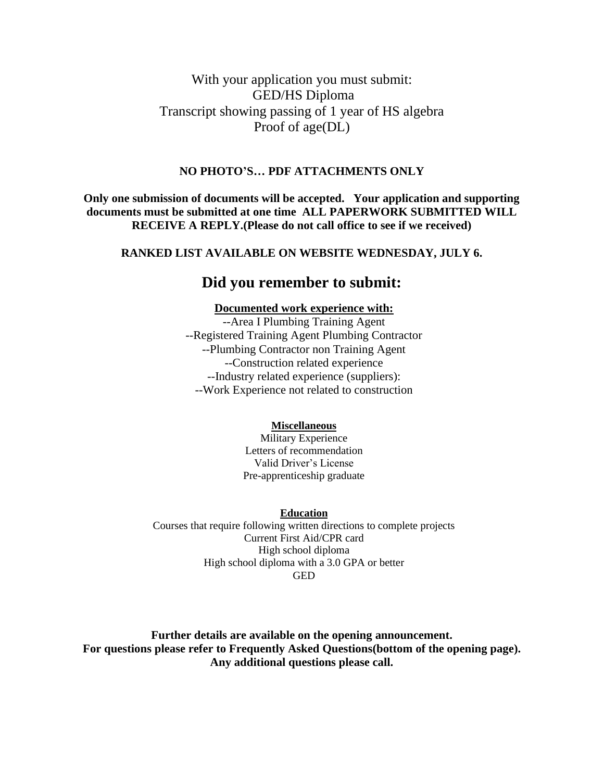# With your application you must submit: GED/HS Diploma Transcript showing passing of 1 year of HS algebra Proof of age(DL)

#### **NO PHOTO'S… PDF ATTACHMENTS ONLY**

**Only one submission of documents will be accepted. Your application and supporting documents must be submitted at one time ALL PAPERWORK SUBMITTED WILL RECEIVE A REPLY.(Please do not call office to see if we received)**

#### **RANKED LIST AVAILABLE ON WEBSITE WEDNESDAY, JULY 6.**

# **Did you remember to submit:**

#### **Documented work experience with:**

--Area I Plumbing Training Agent --Registered Training Agent Plumbing Contractor --Plumbing Contractor non Training Agent --Construction related experience --Industry related experience (suppliers): --Work Experience not related to construction

#### **Miscellaneous**

Military Experience Letters of recommendation Valid Driver's License Pre-apprenticeship graduate

**Education**

Courses that require following written directions to complete projects Current First Aid/CPR card High school diploma High school diploma with a 3.0 GPA or better GED

**Further details are available on the opening announcement. For questions please refer to Frequently Asked Questions(bottom of the opening page). Any additional questions please call.**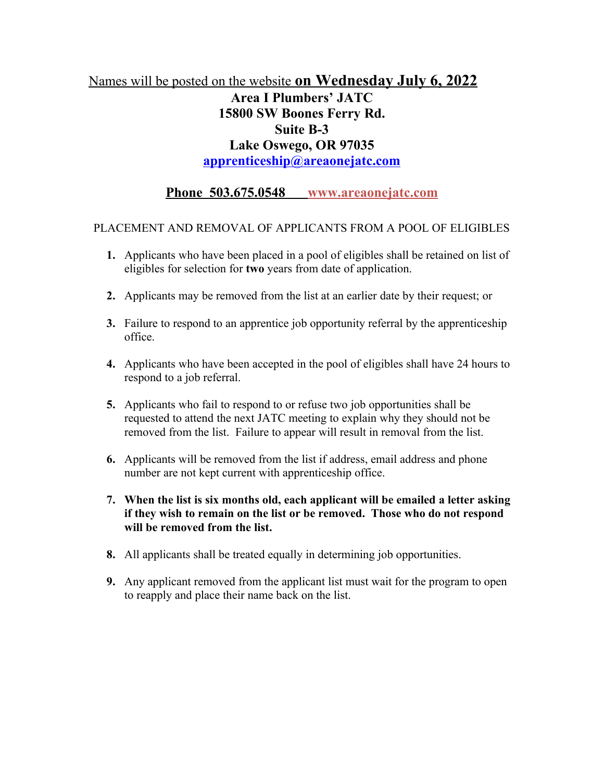# Names will be posted on the website **on Wednesday July 6, 2022 Area I Plumbers' JATC 15800 SW Boones Ferry Rd. Suite B-3 Lake Oswego, OR 97035 [apprenticeship@areaonejatc.com](mailto:apprenticeship@areaonejatc.com)**

# **Phone 503.675.0548 www.areaonejatc.com**

### PLACEMENT AND REMOVAL OF APPLICANTS FROM A POOL OF ELIGIBLES

- **1.** Applicants who have been placed in a pool of eligibles shall be retained on list of eligibles for selection for **two** years from date of application.
- **2.** Applicants may be removed from the list at an earlier date by their request; or
- **3.** Failure to respond to an apprentice job opportunity referral by the apprenticeship office.
- **4.** Applicants who have been accepted in the pool of eligibles shall have 24 hours to respond to a job referral.
- **5.** Applicants who fail to respond to or refuse two job opportunities shall be requested to attend the next JATC meeting to explain why they should not be removed from the list. Failure to appear will result in removal from the list.
- **6.** Applicants will be removed from the list if address, email address and phone number are not kept current with apprenticeship office.
- **7. When the list is six months old, each applicant will be emailed a letter asking if they wish to remain on the list or be removed. Those who do not respond will be removed from the list.**
- **8.** All applicants shall be treated equally in determining job opportunities.
- **9.** Any applicant removed from the applicant list must wait for the program to open to reapply and place their name back on the list.